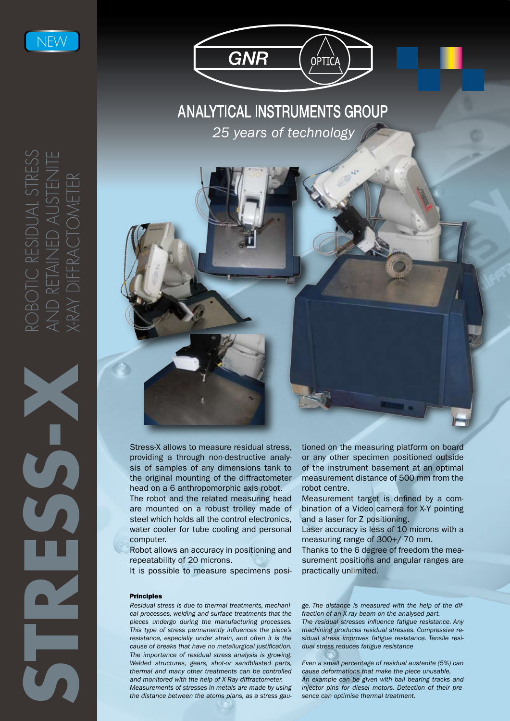

**ANALYTICAL INSTRUMENTS GROUP** 25 years of technology

OPTIC.

**GNR** 



Stress-X allows to measure residual stress, providing a through non-destructive analysis of samples of any dimensions tank to the original mounting of the diffractometer head on a 6 anthropomorphic axis robot.

The robot and the related measuring head are mounted on a robust trolley made of steel which holds all the control electronics, water cooler for tube cooling and personal computer.

Robot allows an accuracy in positioning and repeatability of 20 microns.

It is possible to measure specimens posi-

## Principles

*Residual stress is due to thermal treatments, mechanical processes, welding and surface treatments that the pieces undergo during the manufacturing processes. This type of stress permanently influences the piece's resistance, especially under strain, and often it is the cause of breaks that have no metallurgical justification. The importance of residual stress analysis is growing. Welded structures, gears, shot-or sandblasted parts, thermal and many other treatments can be controlled and monitored with the help of X-Ray diffractometer.* 

*Measurements of stresses in metals are made by using the distance between the atoms plans, as a stress gau-* tioned on the measuring platform on board or any other specimen positioned outside of the instrument basement at an optimal measurement distance of 500 mm from the robot centre.

Measurement target is defined by a combination of a Video camera for X-Y pointing and a laser for Z positioning.

Laser accuracy is less of 10 microns with a measuring range of 300+/-70 mm.

Thanks to the 6 degree of freedom the measurement positions and angular ranges are practically unlimited.

*ge. The distance is measured with the help of the diffraction of an X-ray beam on the analysed part. The residual stresses influence fatigue resistance. Any machining produces residual stresses. Compressive residual stress improves fatigue resistance. Tensile residual stress reduces fatigue resistance*

*Even a small percentage of residual austenite (5%) can cause deformations that make the piece unusable. An example can be given with ball bearing tracks and injector pins for diesel motors. Detection of their presence can optimise thermal treatment.*